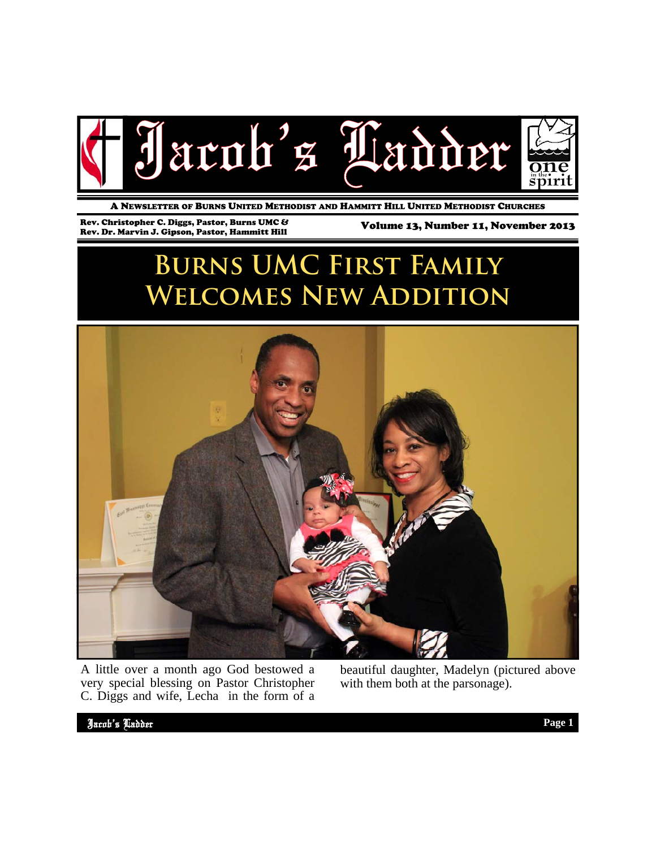

A NEWSLETTER OF BURNS UNITED METHODIST AND HAMMITT HILL UNITED METHODIST CHURCHES

Rev. Christopher C. Diggs, Pastor, Burns UMC &

Volume 13, Number 11, November 2013

# **Burns UMC First Family Welcomes New Addition**



A little over a month ago God bestowed a very special blessing on Pastor Christopher C. Diggs and wife, Lecha in the form of a beautiful daughter, Madelyn (pictured above with them both at the parsonage).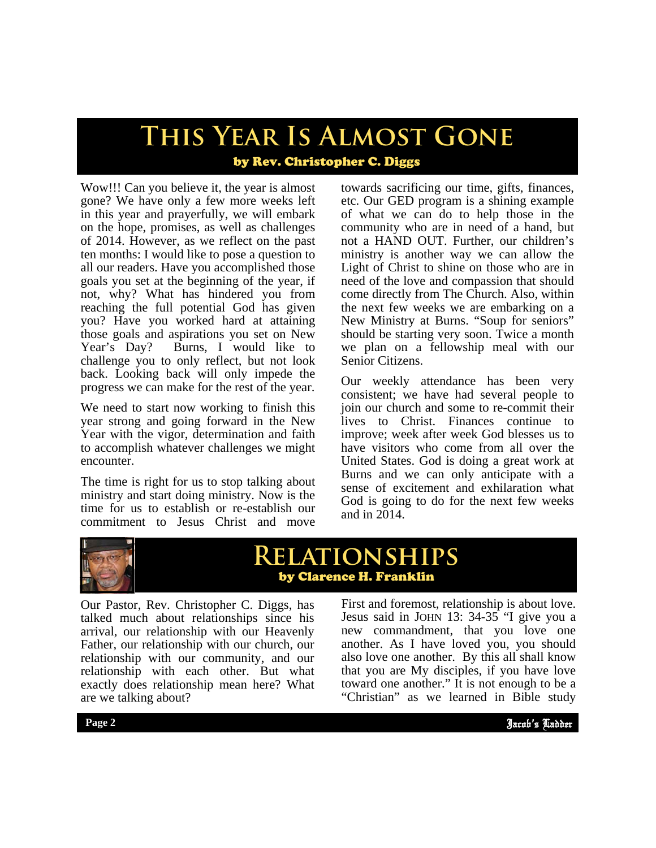# **This Year Is Almost Gone**

### by Rev. Christopher C. Diggs

Wow!!! Can you believe it, the year is almost gone? We have only a few more weeks left in this year and prayerfully, we will embark on the hope, promises, as well as challenges of 2014. However, as we reflect on the past ten months: I would like to pose a question to all our readers. Have you accomplished those goals you set at the beginning of the year, if not, why? What has hindered you from reaching the full potential God has given you? Have you worked hard at attaining those goals and aspirations you set on New Year's Day? Burns, I would like to challenge you to only reflect, but not look back. Looking back will only impede the progress we can make for the rest of the year.

We need to start now working to finish this year strong and going forward in the New Year with the vigor, determination and faith to accomplish whatever challenges we might encounter.

The time is right for us to stop talking about ministry and start doing ministry. Now is the time for us to establish or re-establish our commitment to Jesus Christ and move

towards sacrificing our time, gifts, finances, etc. Our GED program is a shining example of what we can do to help those in the community who are in need of a hand, but not a HAND OUT. Further, our children's ministry is another way we can allow the Light of Christ to shine on those who are in need of the love and compassion that should come directly from The Church. Also, within the next few weeks we are embarking on a New Ministry at Burns. "Soup for seniors" should be starting very soon. Twice a month we plan on a fellowship meal with our Senior Citizens.

Our weekly attendance has been very consistent; we have had several people to join our church and some to re-commit their lives to Christ. Finances continue to improve; week after week God blesses us to have visitors who come from all over the United States. God is doing a great work at Burns and we can only anticipate with a sense of excitement and exhilaration what God is going to do for the next few weeks and in 2014.



### **Relationships** by Clarence H. Franklin

Our Pastor, Rev. Christopher C. Diggs, has talked much about relationships since his arrival, our relationship with our Heavenly Father, our relationship with our church, our relationship with our community, and our relationship with each other. But what exactly does relationship mean here? What are we talking about?

also love one another. By this all shall know<br>that you are My disciples, if you have love First and foremost, relationship is about love. Jesus said in JOHN 13: 34-35 "I give you a new commandment, that you love one another. As I have loved you, you should also love one another. By this all shall know toward one another." It is not enough to be a "Christian" as we learned in Bible study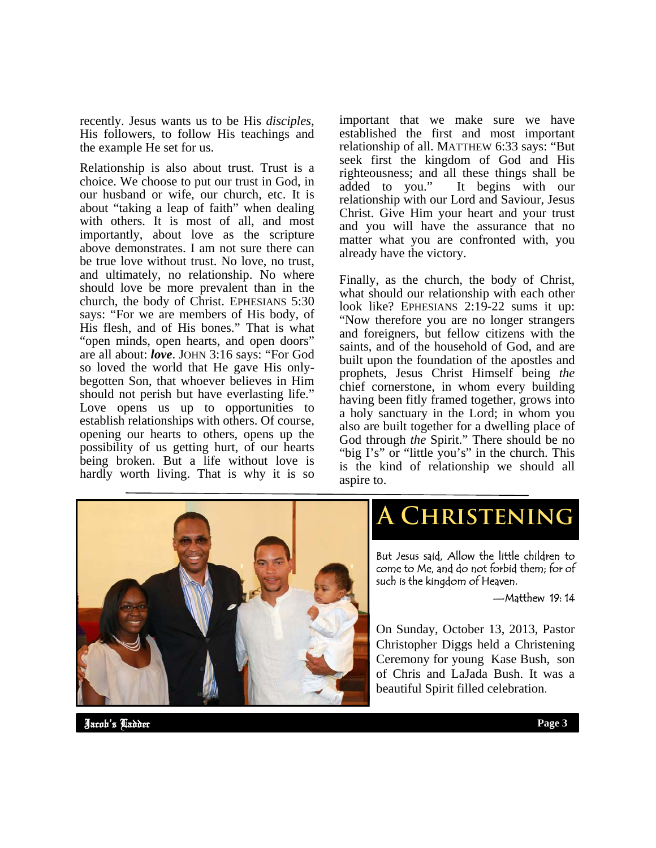recently. Jesus wants us to be His *disciples*, His followers, to follow His teachings and the example He set for us.

Relationship is also about trust. Trust is a choice. We choose to put our trust in God, in our husband or wife, our church, etc. It is about "taking a leap of faith" when dealing with others. It is most of all, and most importantly, about love as the scripture above demonstrates. I am not sure there can be true love without trust. No love, no trust, and ultimately, no relationship. No where should love be more prevalent than in the church, the body of Christ. EPHESIANS 5:30 says: "For we are members of His body, of His flesh, and of His bones." That is what "open minds, open hearts, and open doors" are all about: *love*. JOHN 3:16 says: "For God so loved the world that He gave His onlybegotten Son, that whoever believes in Him should not perish but have everlasting life." Love opens us up to opportunities to establish relationships with others. Of course, opening our hearts to others, opens up the possibility of us getting hurt, of our hearts being broken. But a life without love is hardly worth living. That is why it is so important that we make sure we have established the first and most important relationship of all. MATTHEW 6:33 says: "But seek first the kingdom of God and His righteousness; and all these things shall be added to you." It begins with our relationship with our Lord and Saviour, Jesus Christ. Give Him your heart and your trust and you will have the assurance that no matter what you are confronted with, you already have the victory.

Finally, as the church, the body of Christ, what should our relationship with each other look like? EPHESIANS 2:19-22 sums it up: "Now therefore you are no longer strangers and foreigners, but fellow citizens with the saints, and of the household of God, and are built upon the foundation of the apostles and prophets, Jesus Christ Himself being *the* chief cornerstone, in whom every building having been fitly framed together, grows into a holy sanctuary in the Lord; in whom you also are built together for a dwelling place of God through *the* Spirit." There should be no "big I's" or "little you's" in the church. This is the kind of relationship we should all aspire to.



## **A Christening**

But Jesus said, Allow the little children to come to Me, and do not forbid them; for of such is the kingdom of Heaven.

—Matthew 19: 14

On Sunday, October 13, 2013, Pastor Christopher Diggs held a Christening Ceremony for young Kase Bush, son of Chris and LaJada Bush. It was a beautiful Spirit filled celebration.